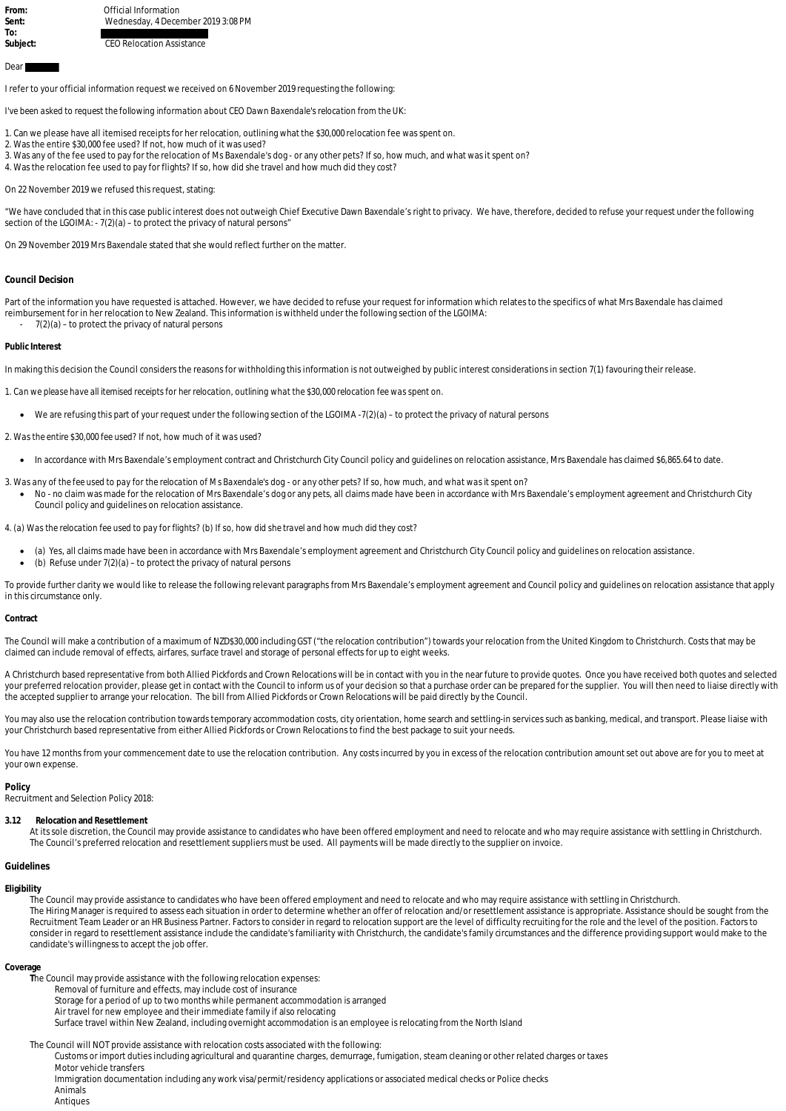From: *Connect Connect Connect Connect Connect Connect Connect Connect Connect Connect Connect Connect Connect Connect Connect Connect Connect Connect Connect Connect Connect Connect Connect Connect Connect Connect Connec* **Sent:** Wednesday, 4 December 2019 3:08 PM

**Subject:** CEO Relocation Assistance

# Dear<sup>1</sup>

**To:** 

I refer to your official information request we received on 6 November 2019 requesting the following:

*I've been asked to request the following information about CEO Dawn Baxendale's relocation from the UK:*

1. Can we please have all itemised receipts for her relocation, outlining what the \$30,000 relocation fee was spent on.

- 2. Was the entire \$30,000 fee used? If not, how much of it was used?
- 3. Was any of the fee used to pay for the relocation of Ms Baxendale's dog or any other pets? If so, how much, and what was it spent on?
- 4. Was the relocation fee used to pay for flights? If so, how did she travel and how much did they cost?

On 22 November 2019 we refused this request, stating:

"We have concluded that in this case public interest does not outweigh Chief Executive Dawn Baxendale's right to privacy. We have, therefore, decided to refuse your request under the following section of the LGOIMA: - 7(2)(a) - to protect the privacy of natural persons"

On 29 November 2019 Mrs Baxendale stated that she would reflect further on the matter.

## **Council Decision**

Part of the information you have requested is attached. However, we have decided to refuse your request for information which relates to the specifics of what Mrs Baxendale has claimed reimbursement for in her relocation to New Zealand. This information is withheld under the following section of the LGOIMA:  $7(2)(a)$  – to protect the privacy of natural persons

#### **Public Interest**

In making this decision the Council considers the reasons for withholding this information is not outweighed by public interest considerations in section 7(1) favouring their release.

*1. Can we please have all itemised receipts for her relocation, outlining what the \$30,000 relocation fee was spent on.* 

- We are refusing this part of your request under the following section of the LGOIMA  $-7(2)(a)$  to protect the privacy of natural persons
- *2. Was the entire \$30,000 fee used? If not, how much of it was used?*
	- · In accordance with Mrs Baxendale's employment contract and Christchurch City Council policy and guidelines on relocation assistance, Mrs Baxendale has claimed \$6,865.64 to date.
- *3. Was any of the fee used to pay for the relocation of Ms Baxendale's dog or any other pets? If so, how much, and what was it spent on?*
	- · No no claim was made for the relocation of Mrs Baxendale's dog or any pets, all claims made have been in accordance with Mrs Baxendale's employment agreement and Christchurch City Council policy and guidelines on relocation assistance.

*4. (a) Was the relocation fee used to pay for flights? (b) If so, how did she travel and how much did they cost?* 

- · (a) Yes, all claims made have been in accordance with Mrs Baxendale's employment agreement and Christchurch City Council policy and guidelines on relocation assistance.
- (b) Refuse under  $7(2)(a)$  to protect the privacy of natural persons

To provide further clarity we would like to release the following relevant paragraphs from Mrs Baxendale's employment agreement and Council policy and guidelines on relocation assistance that apply in this circumstance only.

#### **Contract**

The Council will make a contribution of a maximum of NZD\$30,000 including GST ("the relocation contribution") towards your relocation from the United Kingdom to Christchurch. Costs that may be claimed can include removal of effects, airfares, surface travel and storage of personal effects for up to eight weeks.

A Christchurch based representative from both Allied Pickfords and Crown Relocations will be in contact with you in the near future to provide quotes. Once you have received both quotes and selected your preferred relocation provider, please get in contact with the Council to inform us of your decision so that a purchase order can be prepared for the supplier. You will then need to liaise directly with the accepted supplier to arrange your relocation. The bill from Allied Pickfords or Crown Relocations will be paid directly by the Council.

You may also use the relocation contribution towards temporary accommodation costs, city orientation, home search and settling-in services such as banking, medical, and transport. Please liaise with your Christchurch based representative from either Allied Pickfords or Crown Relocations to find the best package to suit your needs.

You have 12 months from your commencement date to use the relocation contribution. Any costs incurred by you in excess of the relocation contribution amount set out above are for you to meet at your own expense.

#### **Policy**

Recruitment and Selection Policy 2018:

**3.12 Relocation and Resettlement**

At its sole discretion, the Council may provide assistance to candidates who have been offered employment and need to relocate and who may require assistance with settling in Christchurch. The Council's preferred relocation and resettlement suppliers must be used. All payments will be made directly to the supplier on invoice.

# **Guidelines**

## **Eligibility**

The Council may provide assistance to candidates who have been offered employment and need to relocate and who may require assistance with settling in Christchurch. The Hiring Manager is required to assess each situation in order to determine whether an offer of relocation and/or resettlement assistance is appropriate. Assistance should be sought from the Recruitment Team Leader or an HR Business Partner. Factors to consider in regard to relocation support are the level of difficulty recruiting for the role and the level of the position. Factors to consider in regard to resettlement assistance include the candidate's familiarity with Christchurch, the candidate's family circumstances and the difference providing support would make to the candidate's willingness to accept the job offer.

### **Coverage**

- **T**he Council may provide assistance with the following relocation expenses:
	- Removal of furniture and effects, may include cost of insurance

Storage for a period of up to two months while permanent accommodation is arranged

Air travel for new employee and their immediate family if also relocating Surface travel within New Zealand, including overnight accommodation is an employee is relocating from the North Island

The Council will NOT provide assistance with relocation costs associated with the following:

Customs or import duties including agricultural and quarantine charges, demurrage, fumigation, steam cleaning or other related charges or taxes Motor vehicle transfers

Immigration documentation including any work visa/permit/residency applications or associated medical checks or Police checks Animals

Antiques